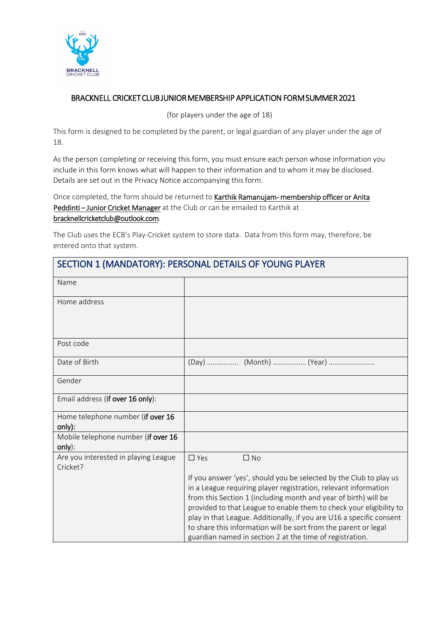

#### BRACKNELL CRICKET CLUB JUNIOR MEMBERSHIP APPLICATION FORM SUMMER 2021

(for players under the age of 18)

This form is designed to be completed by the parent, or legal guardian of any player under the age of 18.

As the person completing or receiving this form, you must ensure each person whose information you include in this form knows what will happen to their information and to whom it may be disclosed. Details are set out in the Privacy Notice accompanying this form.

Once completed, the form should be returned to Karthik Ramanujam- membership officer or Anita Peddinti-Junior Cricket Manager at the Club or can be emailed to Karthik at bracknellcricketclub@outlook.com.

The Club uses the ECB's Play-Cricket system to store data. Data from this form may, therefore, be entered onto that system.

| SECTION 1 (MANDATORY): PERSONAL DETAILS OF YOUNG PLAYER |                                                                                                                                                                                                                                                                                                                                                                                                                                                                                        |  |  |  |
|---------------------------------------------------------|----------------------------------------------------------------------------------------------------------------------------------------------------------------------------------------------------------------------------------------------------------------------------------------------------------------------------------------------------------------------------------------------------------------------------------------------------------------------------------------|--|--|--|
| Name                                                    |                                                                                                                                                                                                                                                                                                                                                                                                                                                                                        |  |  |  |
| Home address                                            |                                                                                                                                                                                                                                                                                                                                                                                                                                                                                        |  |  |  |
| Post code                                               |                                                                                                                                                                                                                                                                                                                                                                                                                                                                                        |  |  |  |
| Date of Birth                                           | (Day)  (Month)  (Year)                                                                                                                                                                                                                                                                                                                                                                                                                                                                 |  |  |  |
| Gender                                                  |                                                                                                                                                                                                                                                                                                                                                                                                                                                                                        |  |  |  |
| Email address (if over 16 only):                        |                                                                                                                                                                                                                                                                                                                                                                                                                                                                                        |  |  |  |
| Home telephone number (if over 16<br>only):             |                                                                                                                                                                                                                                                                                                                                                                                                                                                                                        |  |  |  |
| Mobile telephone number (if over 16<br>only):           |                                                                                                                                                                                                                                                                                                                                                                                                                                                                                        |  |  |  |
| Are you interested in playing League<br>Cricket?        | $\Box$ Yes<br>$\Box$ No                                                                                                                                                                                                                                                                                                                                                                                                                                                                |  |  |  |
|                                                         | If you answer 'yes', should you be selected by the Club to play us<br>in a League requiring player registration, relevant information<br>from this Section 1 (including month and year of birth) will be<br>provided to that League to enable them to check your eligibility to<br>play in that League. Additionally, if you are U16 a specific consent<br>to share this information will be sort from the parent or legal<br>guardian named in section 2 at the time of registration. |  |  |  |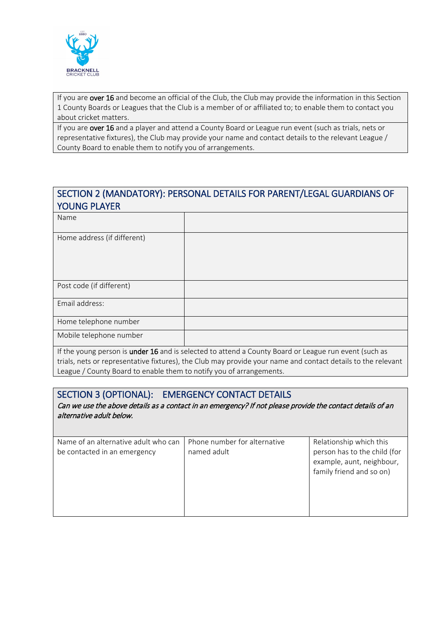

If you are over 16 and become an official of the Club, the Club may provide the information in this Section 1 County Boards or Leagues that the Club is a member of or affiliated to; to enable them to contact you about cricket matters.

If you are over 16 and a player and attend a County Board or League run event (such as trials, nets or representative fixtures), the Club may provide your name and contact details to the relevant League / County Board to enable them to notify you of arrangements.

## SECTION 2 (MANDATORY): PERSONAL DETAILS FOR PARENT/LEGAL GUARDIANS OF YOUNG PLAYER

| Name                        |  |
|-----------------------------|--|
| Home address (if different) |  |
| Post code (if different)    |  |
| Email address:              |  |
| Home telephone number       |  |
| Mobile telephone number     |  |

If the young person is under 16 and is selected to attend a County Board or League run event (such as trials, nets or representative fixtures), the Club may provide your name and contact details to the relevant League / County Board to enable them to notify you of arrangements.

#### SECTION 3 (OPTIONAL): EMERGENCY CONTACT DETAILS

Can we use the above details as a contact in an emergency? If not please provide the contact details of an alternative adult below.

| Phone number for alternative<br>Relationship which this<br>Name of an alternative adult who can                                      |
|--------------------------------------------------------------------------------------------------------------------------------------|
| person has to the child (for<br>named adult<br>be contacted in an emergency<br>example, aunt, neighbour,<br>family friend and so on) |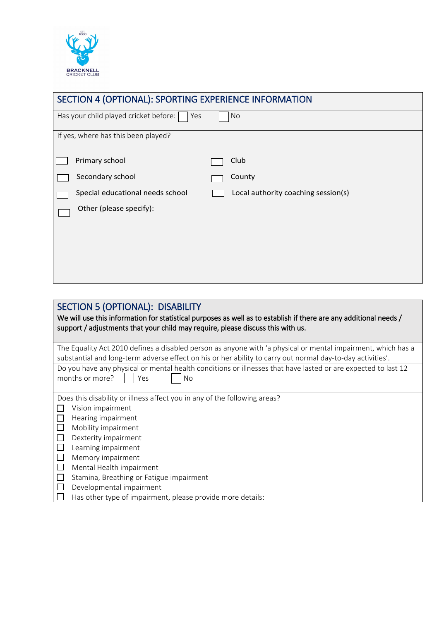

| SECTION 4 (OPTIONAL): SPORTING EXPERIENCE INFORMATION |                                                |  |                                     |  |  |
|-------------------------------------------------------|------------------------------------------------|--|-------------------------------------|--|--|
|                                                       | Has your child played cricket before: [<br>Yes |  | <b>No</b>                           |  |  |
|                                                       | If yes, where has this been played?            |  |                                     |  |  |
|                                                       | Primary school                                 |  | Club                                |  |  |
|                                                       | Secondary school                               |  | County                              |  |  |
|                                                       | Special educational needs school               |  | Local authority coaching session(s) |  |  |
|                                                       | Other (please specify):                        |  |                                     |  |  |
|                                                       |                                                |  |                                     |  |  |
|                                                       |                                                |  |                                     |  |  |
|                                                       |                                                |  |                                     |  |  |
|                                                       |                                                |  |                                     |  |  |

| <b>SECTION 5 (OPTIONAL): DISABILITY</b><br>We will use this information for statistical purposes as well as to establish if there are any additional needs /<br>support / adjustments that your child may require, please discuss this with us. |
|-------------------------------------------------------------------------------------------------------------------------------------------------------------------------------------------------------------------------------------------------|
| The Equality Act 2010 defines a disabled person as anyone with 'a physical or mental impairment, which has a                                                                                                                                    |
| substantial and long-term adverse effect on his or her ability to carry out normal day-to-day activities'.                                                                                                                                      |
| Do you have any physical or mental health conditions or illnesses that have lasted or are expected to last 12                                                                                                                                   |
| months or more?<br>Yes<br>No.                                                                                                                                                                                                                   |
|                                                                                                                                                                                                                                                 |
| Does this disability or illness affect you in any of the following areas?                                                                                                                                                                       |
| Vision impairment                                                                                                                                                                                                                               |
| Hearing impairment                                                                                                                                                                                                                              |
| Mobility impairment                                                                                                                                                                                                                             |
| Dexterity impairment                                                                                                                                                                                                                            |
| Learning impairment                                                                                                                                                                                                                             |
| Memory impairment                                                                                                                                                                                                                               |
| Mental Health impairment<br>$\Box$                                                                                                                                                                                                              |
| Stamina, Breathing or Fatigue impairment                                                                                                                                                                                                        |
| Developmental impairment                                                                                                                                                                                                                        |
| Has other type of impairment, please provide more details:                                                                                                                                                                                      |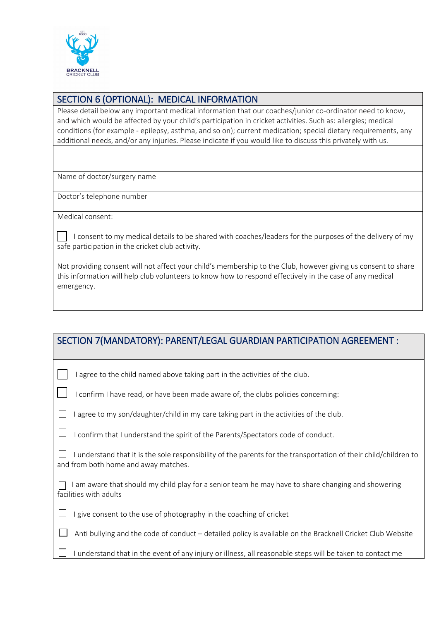

#### SECTION 6 (OPTIONAL): MEDICAL INFORMATION

Please detail below any important medical information that our coaches/junior co-ordinator need to know, and which would be affected by your child's participation in cricket activities. Such as: allergies; medical conditions (for example - epilepsy, asthma, and so on); current medication; special dietary requirements, any additional needs, and/or any injuries. Please indicate if you would like to discuss this privately with us.

Name of doctor/surgery name

Doctor's telephone number

Medical consent:

 I consent to my medical details to be shared with coaches/leaders for the purposes of the delivery of my safe participation in the cricket club activity.

Not providing consent will not affect your child's membership to the Club, however giving us consent to share this information will help club volunteers to know how to respond effectively in the case of any medical emergency.

| SECTION 7(MANDATORY): PARENT/LEGAL GUARDIAN PARTICIPATION AGREEMENT :                                                                                  |
|--------------------------------------------------------------------------------------------------------------------------------------------------------|
| agree to the child named above taking part in the activities of the club.                                                                              |
| confirm I have read, or have been made aware of, the clubs policies concerning:                                                                        |
| agree to my son/daughter/child in my care taking part in the activities of the club.                                                                   |
| I confirm that I understand the spirit of the Parents/Spectators code of conduct.                                                                      |
| understand that it is the sole responsibility of the parents for the transportation of their child/children to<br>and from both home and away matches. |
| am aware that should my child play for a senior team he may have to share changing and showering<br>facilities with adults                             |
| give consent to the use of photography in the coaching of cricket                                                                                      |
| Anti bullying and the code of conduct - detailed policy is available on the Bracknell Cricket Club Website                                             |
| I understand that in the event of any injury or illness, all reasonable steps will be taken to contact me                                              |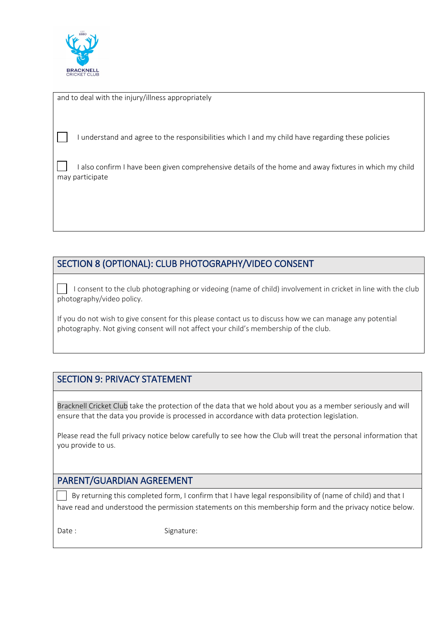

and to deal with the injury/illness appropriately

I understand and agree to the responsibilities which I and my child have regarding these policies

 I also confirm I have been given comprehensive details of the home and away fixtures in which my child may participate

## SECTION 8 (OPTIONAL): CLUB PHOTOGRAPHY/VIDEO CONSENT

 I consent to the club photographing or videoing (name of child) involvement in cricket in line with the club photography/video policy.

If you do not wish to give consent for this please contact us to discuss how we can manage any potential photography. Not giving consent will not affect your child's membership of the club.

## SECTION 9: PRIVACY STATEMENT

Bracknell Cricket Club take the protection of the data that we hold about you as a member seriously and will ensure that the data you provide is processed in accordance with data protection legislation.

Please read the full privacy notice below carefully to see how the Club will treat the personal information that you provide to us.

#### PARENT/GUARDIAN AGREEMENT

 By returning this completed form, I confirm that I have legal responsibility of (name of child) and that I have read and understood the permission statements on this membership form and the privacy notice below.

Date : Signature: